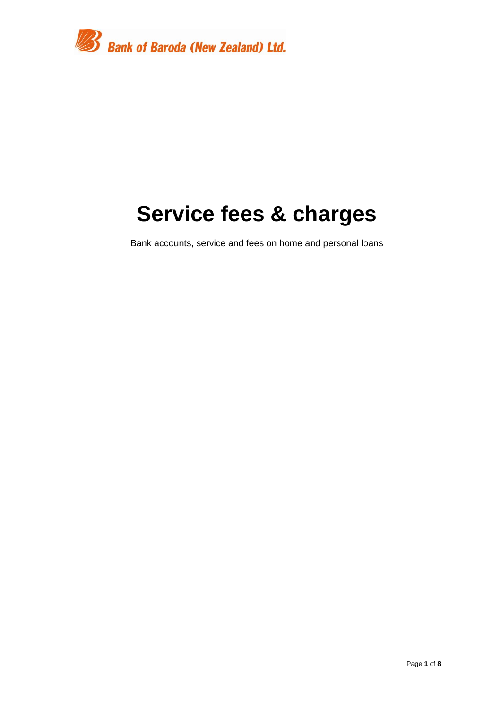

# **Service fees & charges**

Bank accounts, service and fees on home and personal loans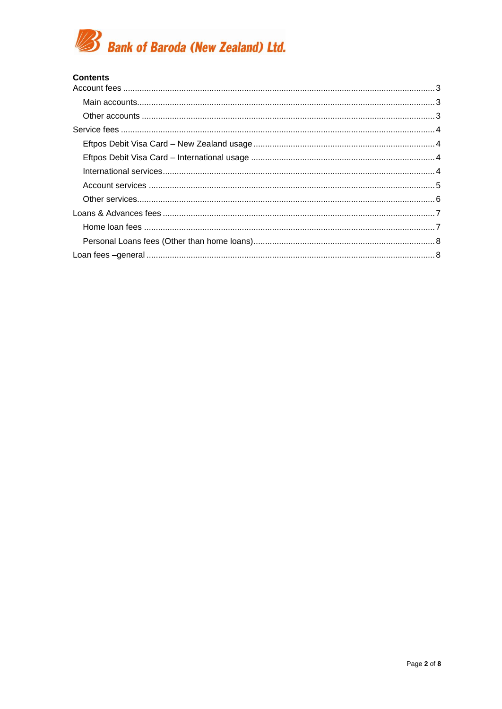

#### **Contents**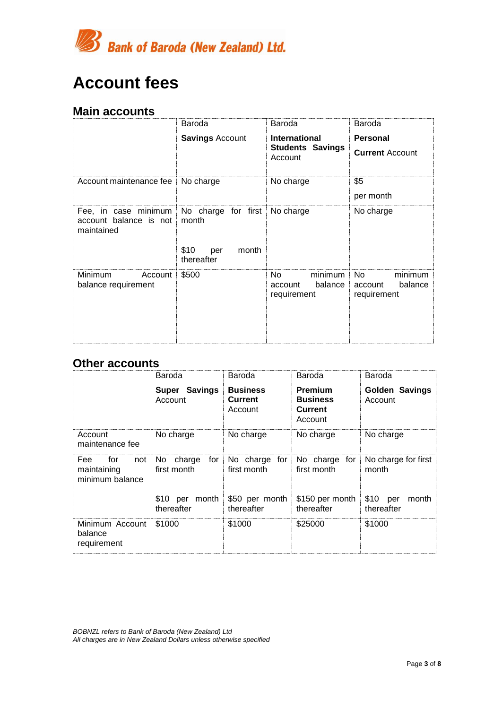

# <span id="page-2-0"></span>**Account fees**

#### <span id="page-2-1"></span>**Main accounts**

|                                                                                            | Baroda                             | Baroda                                              | Baroda                                              |
|--------------------------------------------------------------------------------------------|------------------------------------|-----------------------------------------------------|-----------------------------------------------------|
|                                                                                            | <b>Savings Account</b>             | <b>International</b>                                | <b>Personal</b>                                     |
|                                                                                            |                                    | <b>Students Savings</b><br>Account                  | <b>Current Account</b>                              |
| Account maintenance fee                                                                    | No charge                          | No charge                                           | \$5                                                 |
|                                                                                            |                                    |                                                     | per month                                           |
| Fee, in case minimum No charge for first No charge<br>account balance is not<br>maintained | month                              |                                                     | No charge                                           |
|                                                                                            | \$10<br>month<br>per<br>thereafter |                                                     |                                                     |
| Minimum<br>Account<br>balance requirement                                                  | \$500                              | minimum<br>No.<br>balance<br>account<br>requirement | minimum<br>No.<br>balance<br>account<br>requirement |

#### <span id="page-2-2"></span>**Other accounts**

|                                                     | Baroda                              | Baroda                                       | Baroda                                                  | Baroda                           |
|-----------------------------------------------------|-------------------------------------|----------------------------------------------|---------------------------------------------------------|----------------------------------|
|                                                     | Super Savings<br>Account            | <b>Business</b><br><b>Current</b><br>Account | Premium<br><b>Business</b><br><b>Current</b><br>Account | <b>Golden Savings</b><br>Account |
| Account<br>maintenance fee                          | No charge                           | No charge                                    | No charge                                               | No charge                        |
| Fee<br>not<br>for<br>maintaining<br>minimum balance | for<br>No.<br>charge<br>first month | No charge for<br>first month                 | No charge for<br>first month                            | No charge for first<br>month     |
|                                                     | \$10 per month<br>thereafter        | \$50 per month<br>thereafter                 | \$150 per month<br>thereafter                           | $$10$ per<br>month<br>thereafter |
| Minimum Account<br>balance<br>requirement           | \$1000                              | \$1000                                       | \$25000                                                 | \$1000                           |

*BOBNZL refers to Bank of Baroda (New Zealand) Ltd All charges are in New Zealand Dollars unless otherwise specified*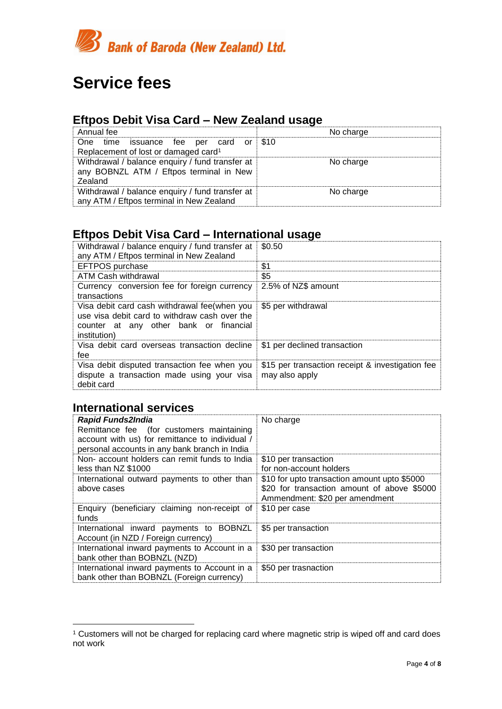

# <span id="page-3-0"></span>**Service fees**

### <span id="page-3-1"></span>**Eftpos Debit Visa Card – New Zealand usage**

| Annual fee                                       | No charge |
|--------------------------------------------------|-----------|
| One time issuance fee per card or $$10$          |           |
| Replacement of lost or damaged card <sup>1</sup> |           |
| Withdrawal / balance enquiry / fund transfer at  | No charge |
| any BOBNZL ATM / Eftpos terminal in New          |           |
| Zealand                                          |           |
| Withdrawal / balance enquiry / fund transfer at  | No charge |
| any ATM / Eftpos terminal in New Zealand         |           |

### <span id="page-3-2"></span>**Eftpos Debit Visa Card – International usage**

| Withdrawal / balance enquiry / fund transfer at<br>any ATM / Eftpos terminal in New Zealand                                                             | \$0.50                                                             |
|---------------------------------------------------------------------------------------------------------------------------------------------------------|--------------------------------------------------------------------|
| EFTPOS purchase                                                                                                                                         | \$1                                                                |
| <b>ATM Cash withdrawal</b>                                                                                                                              | \$5                                                                |
| Currency conversion fee for foreign currency<br>transactions                                                                                            | 2.5% of NZ\$ amount                                                |
| Visa debit card cash withdrawal fee(when you<br>use visa debit card to withdraw cash over the<br>counter at any other bank or financial<br>institution) | \$5 per withdrawal                                                 |
| Visa debit card overseas transaction decline<br>fee                                                                                                     | \$1 per declined transaction                                       |
| Visa debit disputed transaction fee when you<br>dispute a transaction made using your visa<br>debit card                                                | \$15 per transaction receipt & investigation fee<br>may also apply |

### <span id="page-3-3"></span>**International services**

 $\overline{a}$ 

| <b>Rapid Funds2India</b><br>Remittance fee (for customers maintaining<br>account with us) for remittance to individual /<br>personal accounts in any bank branch in India | No charge                                                                                                                     |
|---------------------------------------------------------------------------------------------------------------------------------------------------------------------------|-------------------------------------------------------------------------------------------------------------------------------|
| Non-account holders can remit funds to India<br>less than NZ \$1000                                                                                                       | \$10 per transaction<br>for non-account holders                                                                               |
| International outward payments to other than<br>above cases                                                                                                               | \$10 for upto transaction amount upto \$5000<br>\$20 for transaction amount of above \$5000<br>Ammendment: \$20 per amendment |
| Enquiry (beneficiary claiming non-receipt of<br>funds                                                                                                                     | \$10 per case                                                                                                                 |
| International inward payments to BOBNZL<br>Account (in NZD / Foreign currency)                                                                                            | \$5 per transaction                                                                                                           |
| International inward payments to Account in a<br>bank other than BOBNZL (NZD)                                                                                             | \$30 per transaction                                                                                                          |
| International inward payments to Account in a<br>bank other than BOBNZL (Foreign currency)                                                                                | \$50 per trasnaction                                                                                                          |

<sup>&</sup>lt;sup>1</sup> Customers will not be charged for replacing card where magnetic strip is wiped off and card does not work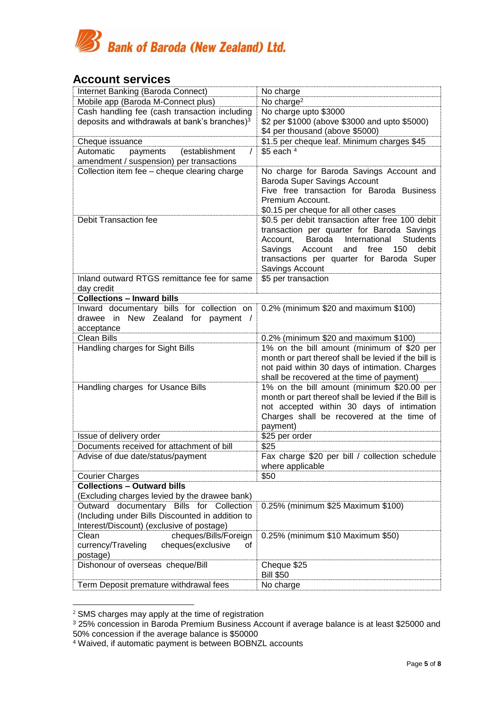

#### <span id="page-4-0"></span>**Account services**

| Internet Banking (Baroda Connect)                         | No charge                                                                 |
|-----------------------------------------------------------|---------------------------------------------------------------------------|
| Mobile app (Baroda M-Connect plus)                        | No charge <sup>2</sup>                                                    |
| Cash handling fee (cash transaction including             | No charge upto \$3000                                                     |
| deposits and withdrawals at bank's branches) <sup>3</sup> | \$2 per \$1000 (above \$3000 and upto \$5000)                             |
|                                                           | \$4 per thousand (above \$5000)                                           |
|                                                           | \$1.5 per cheque leaf. Minimum charges \$45                               |
| Cheque issuance<br>Automatic<br>$\prime$                  | $$5$ each $4$                                                             |
| payments<br>(establishment                                |                                                                           |
| amendment / suspension) per transactions                  |                                                                           |
| Collection item fee - cheque clearing charge              | No charge for Baroda Savings Account and                                  |
|                                                           | Baroda Super Savings Account<br>Five free transaction for Baroda Business |
|                                                           | Premium Account.                                                          |
|                                                           | \$0.15 per cheque for all other cases                                     |
| <b>Debit Transaction fee</b>                              | \$0.5 per debit transaction after free 100 debit                          |
|                                                           | transaction per quarter for Baroda Savings                                |
|                                                           | Account, Baroda<br>International<br><b>Students</b>                       |
|                                                           | free<br>150<br>debit<br>Savings Account<br>and                            |
|                                                           | transactions per quarter for Baroda Super                                 |
|                                                           | Savings Account                                                           |
| Inland outward RTGS remittance fee for same               | \$5 per transaction                                                       |
| day credit                                                |                                                                           |
| <b>Collections - Inward bills</b>                         |                                                                           |
| Inward documentary bills for collection on                | 0.2% (minimum \$20 and maximum \$100)                                     |
| drawee in New Zealand for payment /                       |                                                                           |
| acceptance                                                |                                                                           |
| <b>Clean Bills</b>                                        | 0.2% (minimum \$20 and maximum \$100)                                     |
| Handling charges for Sight Bills                          | 1% on the bill amount (minimum of \$20 per                                |
|                                                           | month or part thereof shall be levied if the bill is                      |
|                                                           | not paid within 30 days of intimation. Charges                            |
|                                                           | shall be recovered at the time of payment)                                |
| Handling charges for Usance Bills                         | 1% on the bill amount (minimum \$20.00 per                                |
|                                                           | month or part thereof shall be levied if the Bill is                      |
|                                                           | not accepted within 30 days of intimation                                 |
|                                                           | Charges shall be recovered at the time of                                 |
|                                                           | payment)                                                                  |
| Issue of delivery order                                   | \$25 per order                                                            |
| Documents received for attachment of bill                 | \$25                                                                      |
| Advise of due date/status/payment                         | Fax charge \$20 per bill / collection schedule                            |
|                                                           | where applicable                                                          |
| <b>Courier Charges</b>                                    | \$50                                                                      |
| <b>Collections - Outward bills</b>                        |                                                                           |
| (Excluding charges levied by the drawee bank)             |                                                                           |
| Outward documentary Bills for Collection                  | 0.25% (minimum \$25 Maximum \$100)                                        |
| (Including under Bills Discounted in addition to          |                                                                           |
| Interest/Discount) (exclusive of postage)                 |                                                                           |
| Clean<br>cheques/Bills/Foreign                            | 0.25% (minimum \$10 Maximum \$50)                                         |
| cheques(exclusive<br>currency/Traveling<br>οf             |                                                                           |
| postage)                                                  |                                                                           |
| Dishonour of overseas cheque/Bill                         | Cheque \$25                                                               |
|                                                           | <b>Bill \$50</b>                                                          |
| Term Deposit premature withdrawal fees                    | No charge                                                                 |

 $2$  SMS charges may apply at the time of registration

<sup>3</sup> 25% concession in Baroda Premium Business Account if average balance is at least \$25000 and 50% concession if the average balance is \$50000

<sup>4</sup> Waived, if automatic payment is between BOBNZL accounts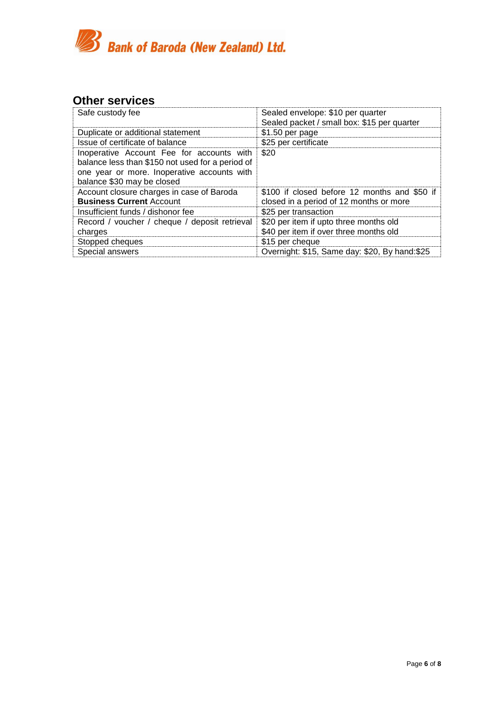

### <span id="page-5-0"></span>**Other services**

| Safe custody fee                                                                                                                                                           | Sealed envelope: \$10 per quarter<br>Sealed packet / small box: \$15 per quarter        |
|----------------------------------------------------------------------------------------------------------------------------------------------------------------------------|-----------------------------------------------------------------------------------------|
| Duplicate or additional statement                                                                                                                                          | \$1.50 per page                                                                         |
| Issue of certificate of balance                                                                                                                                            | \$25 per certificate                                                                    |
| Inoperative Account Fee for accounts with<br>balance less than \$150 not used for a period of<br>one year or more. Inoperative accounts with<br>balance \$30 may be closed | \$20                                                                                    |
| Account closure charges in case of Baroda<br><b>Business Current Account</b>                                                                                               | \$100 if closed before 12 months and \$50 if<br>closed in a period of 12 months or more |
| Insufficient funds / dishonor fee                                                                                                                                          | \$25 per transaction                                                                    |
| Record / voucher / cheque / deposit retrieval<br>charges                                                                                                                   | \$20 per item if upto three months old<br>\$40 per item if over three months old        |
| Stopped cheques                                                                                                                                                            | \$15 per cheque                                                                         |
| Special answers                                                                                                                                                            | Overnight: \$15, Same day: \$20, By hand:\$25                                           |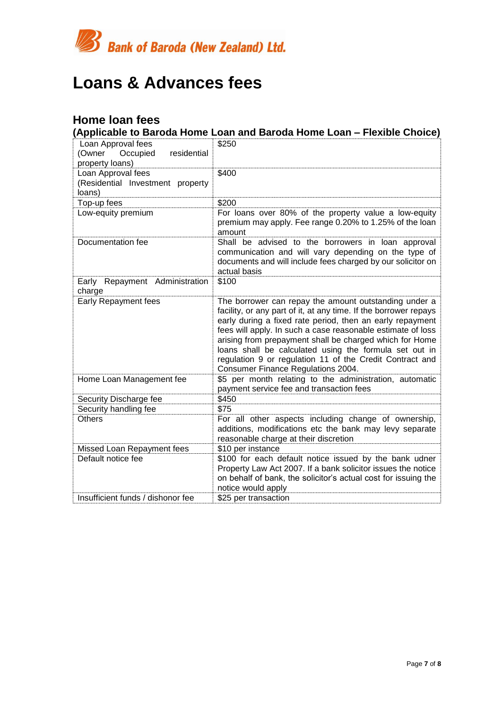

## <span id="page-6-0"></span>**Loans & Advances fees**

### <span id="page-6-1"></span>**Home loan fees**

**(Applicable to Baroda Home Loan and Baroda Home Loan – Flexible Choice)**

| Loan Approval fees<br>Occupied<br>residential<br>(Owner<br>property loans) | \$250                                                                                                                                                                                                                                                                                                                                                                                                                                                                        |
|----------------------------------------------------------------------------|------------------------------------------------------------------------------------------------------------------------------------------------------------------------------------------------------------------------------------------------------------------------------------------------------------------------------------------------------------------------------------------------------------------------------------------------------------------------------|
| Loan Approval fees<br>(Residential Investment property<br>loans)           | \$400                                                                                                                                                                                                                                                                                                                                                                                                                                                                        |
| Top-up fees                                                                | \$200                                                                                                                                                                                                                                                                                                                                                                                                                                                                        |
| Low-equity premium                                                         | For loans over 80% of the property value a low-equity<br>premium may apply. Fee range 0.20% to 1.25% of the loan<br>amount                                                                                                                                                                                                                                                                                                                                                   |
| Documentation fee                                                          | Shall be advised to the borrowers in loan approval<br>communication and will vary depending on the type of<br>documents and will include fees charged by our solicitor on<br>actual basis                                                                                                                                                                                                                                                                                    |
| Early Repayment Administration<br>charge                                   | \$100                                                                                                                                                                                                                                                                                                                                                                                                                                                                        |
| Early Repayment fees                                                       | The borrower can repay the amount outstanding under a<br>facility, or any part of it, at any time. If the borrower repays<br>early during a fixed rate period, then an early repayment<br>fees will apply. In such a case reasonable estimate of loss<br>arising from prepayment shall be charged which for Home<br>loans shall be calculated using the formula set out in<br>regulation 9 or regulation 11 of the Credit Contract and<br>Consumer Finance Regulations 2004. |
| Home Loan Management fee                                                   | \$5 per month relating to the administration, automatic<br>payment service fee and transaction fees                                                                                                                                                                                                                                                                                                                                                                          |
| Security Discharge fee                                                     | \$450                                                                                                                                                                                                                                                                                                                                                                                                                                                                        |
| Security handling fee                                                      | \$75                                                                                                                                                                                                                                                                                                                                                                                                                                                                         |
| <b>Others</b>                                                              | For all other aspects including change of ownership,<br>additions, modifications etc the bank may levy separate<br>reasonable charge at their discretion                                                                                                                                                                                                                                                                                                                     |
| Missed Loan Repayment fees                                                 | \$10 per instance                                                                                                                                                                                                                                                                                                                                                                                                                                                            |
| Default notice fee                                                         | \$100 for each default notice issued by the bank udner<br>Property Law Act 2007. If a bank solicitor issues the notice<br>on behalf of bank, the solicitor's actual cost for issuing the<br>notice would apply                                                                                                                                                                                                                                                               |
| Insufficient funds / dishonor fee                                          | \$25 per transaction                                                                                                                                                                                                                                                                                                                                                                                                                                                         |